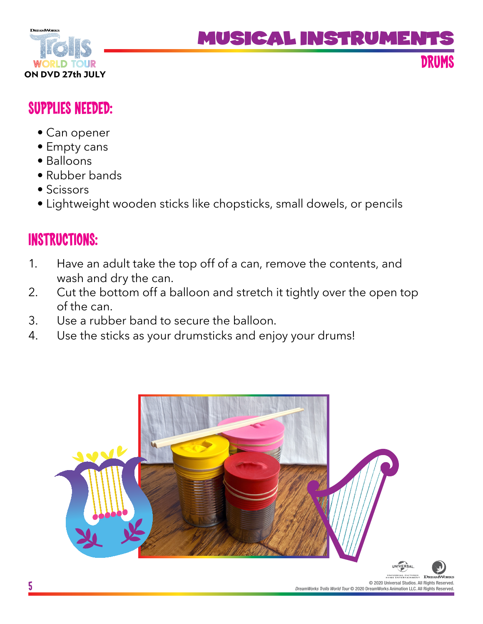

# MUSICAL INSTRUME

**DRUMS**

## **SUPPLIES NEEDED:**

- Can opener
- Empty cans
- Balloons
- Rubber bands
- Scissors
- Lightweight wooden sticks like chopsticks, small dowels, or pencils

## **INSTRUCTIONS:**

- 1. Have an adult take the top off of a can, remove the contents, and wash and dry the can.
- 2. Cut the bottom off a balloon and stretch it tightly over the open top of the can.
- 3. Use a rubber band to secure the balloon.
- 4. Use the sticks as your drumsticks and enjoy your drums!